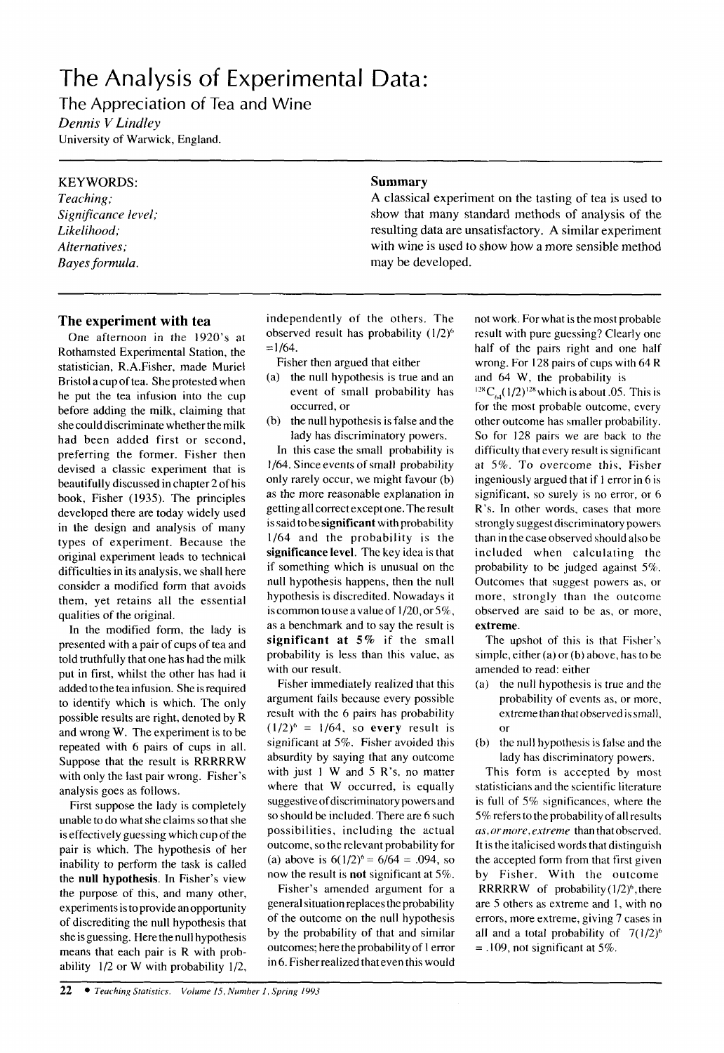## The Analysis of Experimental Data:

The Appreciation of Tea and Wine *Dennis V Lindtey*  University of Warwick, England.

### **KEYWORDS:**

*Teaching; Significance level; Likelihood; Alternatives; Bayes formula.* 

#### **The experiment with tea**

One afternoon in the 1920's at Rothamsted Experimental Station, the statistician, R.A.Fisher, made Muriel Bristol a cup of tea. She protested when he put the tea infusion into the cup before adding the milk, claiming that she could discriminate whether the milk had been added first or second, preferring the former. Fisher then devised a classic experiment that is beautifully discussed in chapter 2 of his book, Fisher (1935). The principles developed there are today widely used in the design and analysis of many types of experiment. Because the original experiment leads to technical difficulties in its analysis, we shall here consider a modified form that avoids them, yet retains all the essential qualities of the original.

In the modified form, the lady is presented with a pair of cups of tea and told truthfully that one has had the milk put in first, whilst the other has had it added to the tea infusion. She is required to identify which is which. The only possible results are right, denoted by R and wrong W. The experiment is to be repeated with 6 pairs of cups in all. Suppose that the result is RRRRRW with only the last pair wrong. Fisher's analysis goes as follows.

First suppose the lady is completely unable to do what she claims so that she is effectively guessing which cup of the pair is which. The hypothesis of her inability to perform the task is called the null hypothesis. In Fisher's view the purpose of this, and many other, experiments is to provide an opportunity of discrediting the null hypothesis that she isguessing. Here thenull hypothesis means that each pair is R with probability **1/2** or W with probability 1/2,

independently of the others. The observed result has probability  $(1/2)^6$  $= 1/64.$ 

- Fisher then argued that either
- (a) the null hypothesis is true and an event of small probability has occurred, or
- (b) the null hypothesis is false and the lady has discriminatory powers.

In this case the small probability is 1/64. Since events of small probability only rarely occur, we might favour (b) as the more reasonable explanation in getting all correct except one. The result **is** said tobesignificant with probability 1/64 and the probability is the significance level. The key idea is that if something which is unusual on the null hypothesis happens, then the null hypothesis is discredited. Nowadays it is common to use avalue of 1/20, or *5%,*  as a benchmark and to say the result is significant at **5%** if the small probability is less than this value, as with our result.

Fisher immediately realized that this argument fails because every possible result with the 6 pairs has probability  $(1/2)^6 = 1/64$ , so every result is significant at *5%.* Fisher avoided this absurdity by saying that any outcome with just **1** W and *5* R's, no matter where that W occurred, is equally suggestive of discriminatory powers and *so* should be included. There are **6** such possibilities, including the actual outcome, *so* the relevant probability for (a) above is  $6(1/2)^6 = 6/64 = .094$ , so now the result is not significant at *5%.* 

Fisher's amended argument for a general situation replaces the probability of the outcome on the null hypothesis by the probability of that and similar outcomes; here the probability of 1 error in 6. Fisher realized that even this would

# **Summary**

**A** classical experiment on the tasting of tea is used to show that many standard methods of analysis of the resulting data are unsatisfactory. **A** similar experiment with wine **is** used **to** show how a more sensible method may be developed.

> not work. For what is the most probable result with pure guessing? Clearly one half of the pairs right and one half wrong. For 128 pairs of cups with 64 **R**  and 64 W, the probability **is**

> <sup>128</sup> C<sub>64</sub>(1/2)<sup>128</sup> which is about 0.05. This is for the most probable outcome, every other outcome has smaller probability. **So** for 128 pairs we are back to the difficulty that every result is significant at *5%.* To overcome this, Fisher ingeniously argued that if **1** error in 6 is significant, *so* surely is no error, **or** 6 R's. In other words, cases that more strongly suggest discriminatory powers than in the case observed should also be included when calculating the probability to be judged against 5%. Outcomes that suggest powers as, or more, strongly than the outcome observed are said to be as, or more, extreme.

> The upshot of this is that Fisher's simple, either (a) or **(b)** above, has to be amended to read: either

- (a) the null hypothesis is true and the probability of events as, or more, extremethan thatobserved is small, or
- (b) the null hypothesis **is** false and the lady has discriminatory powers.

This form is accepted by most statisticians and the scientific literature is full of *S%* significances, where the 5% refers totheprobabilityofall results *as, orrnore,extreme* than that observed. It is the italicised words that distinguish the accepted form from that first given by Fisher. With the outcome RRRRRW of probability  $(1/2)^6$ , there are *5* others as extreme and 1, with no errors, more extreme, giving 7 cases in all and a total probability of  $7(1/2)^6$ = .109, not significant at *5%.*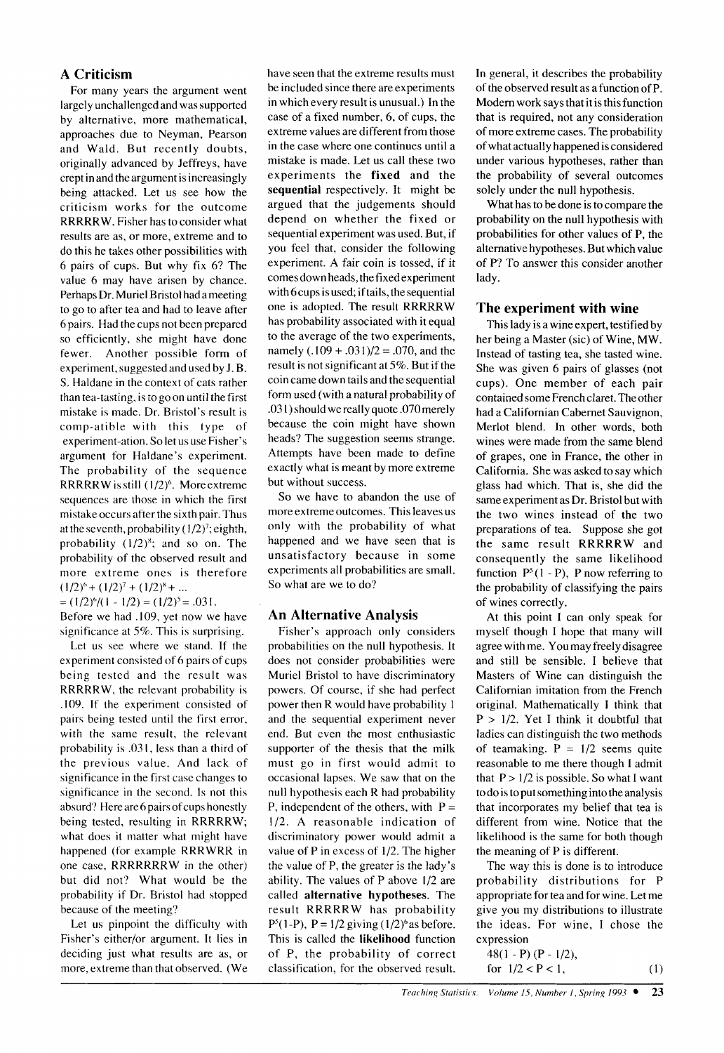#### **A Criticism**

For many years the argument went largely unchallenged and was supported by alternative, more mathematical, approaches due to Neyman, Pearson and Wald. But recently doubts, originally advanced by Jeffreys, have crept in and the argument is increasingly being attacked. Let us see how the criticism works for the outcome RRRRRW. Fisher has to consider what results are as, or more, extreme and to do this he takes other possibilities with 6 pairs of cups. But why fix 6? The value 6 may have arisen by chance. Perhaps Dr. Muriel Bristol hadameeting to go to after tea and had to leave after **6** pairs. Had the cups not been prepared so efficiently, she might have done fewer. Another possible form of experiment, suggested and used by J. B. S. Haldane in the context of cats rather than tea-tasting, is togoon until the first mistake is made. Dr. Bristol's result is comp-atible with this type of experiment-ation. So let us use Fisher's argument for Haldane's experiment. The probability of the sequence RRRRRW is still  $(1/2)^6$ . More extreme sequences are those in which the first mistake occurs after the sixth pair. Thus at the seventh, probability  $(1/2)^7$ ; eighth, probability  $(1/2)^8$ ; and so on. The probability of the observed result and more extreme ones is therefore  $(1/2)^6 + (1/2)^7 + (1/2)^8 + \dots$ 

 $=(1/2)^{6}/(1-1/2)=(1/2)^{5}=.031.$ Before we had ,109, yet now we have

significance at 5%. This is surprising. Let us see where we stand. If the

experiment consisted of 6 pairs of cups being tested and the result was RRRRRW, the relevant probability is ,109. If the experiment consisted of pairs being tested until the first error, with the same result, the relevant probability is *.03* I, less than a third of the previous value. And lack of significance in the first case changes to significance in the second. Is not this absurd'? Here are6 pairs of cups honestly being tested, resulting in RRRRRW; what does it matter what might have happened (for example RRRWRR in one case, RRRRRRRW in the other) but did not? What would be the probability if Dr. Bristol had stopped because of the meeting?

Let us pinpoint the difficulty with Fisher's either/or argument. It lies in deciding just what results are as, or more, extreme than that observed. (We have seen that the extreme results must be included since there are experiments in which every result is unusual.) In the case of a fixed number, **6,** of cups, the extreme values are different from those in the case where one continues until a mistake is made. Let us call these two experiments the **fixed** and the **sequential** respectively. It might be argued that the judgements should depend on whether the fixed or sequential experiment was used. But, if you feel that, consider the following experiment. **A** fair coin is tossed, if it comes down heads, the fixed experiment with 6 cups is used; if tails, the sequential one is adopted. The result RRRRRW has probability associated with it equal to the average of the two experiments, namely  $(.109 + .031)/2 = .070$ , and the result is not significant at 5%. But if the coin came down tails and the sequential form used (with a natural probability of .03 I) should we really quote .070merely because the coin might have shown heads? The suggestion seems strange. Attempts have been made to define exactly what is meant by more extreme but without success.

So we have to abandon the use of more extreme outcomes. This leaves us only with the probability of what happened and we have seen that is unsatisfactory because in some experiments all probabilities are small. So what are we to do?

### **An Alternative Analysis**

Fisher's approach only considers probabilities on the null hypothesis. It does not consider probabilities were Muriel Bristol to have discriminatory powers. Of course, if she had perfect power then R would have probability 1 and the sequential experiment never end. But even the most enthusiastic supporter of the thesis that the milk must go in first would admit to occasional lapses. We saw that on the null hypothesis each R had probability P, independent of the others, with  $P =$ 1/2. A reasonable indication of discriminatory power would admit a value of P in excess of 1/2. The higher the value of P, the greater is the lady's ability. The values of P above 1/2 are called **alternative hypotheses.** The result RRRRRW has probability  $P^{5}(1-P)$ ,  $P = 1/2$  giving  $(1/2)^{6}$  as before. This is called the **likelihood** function of P, the probability of correct classification, for the observed result.

In general, it describes the probability of the observed result as afunction of P. Modem work says that it is this function that is required, not any consideration of more extreme cases. The probability of what actually happened is considered under various hypotheses, rather than the probability of several outcomes solely under the null hypothesis.

What has to be done is to compare the probability on the null hypothesis with probabilities for other values of P, the alternative hypotheses. But which value of P? To answer this consider another lady.

#### **The experiment with wine**

This lady is a wine expert, testified by her being a Master (sic) of Wine, MW. Instead of tasting tea, she tasted wine. She was given 6 pairs of glasses (not cups). One member of each pair contained some French claret. The other had a Californian Cabernet Sauvignon, Merlot blend. In other words, both wines were made from the same blend of grapes, one in France, the other in California. She was asked to say which glass had which. That is, she did the same experiment as Dr. Bristol but with the two wines instead of the two preparations of tea. Suppose she got the same result RRRRRW and consequently the same likelihood function  $P^5(1 - P)$ , P now referring to the probability of classifying the pairs of wines correctly.

At this point I can only speak for myself though I hope that many will agree with me. You may freely disagree and still be sensible. I believe that Masters of Wine can distinguish the Californian imitation from the French original. Mathematically I think that  $P > 1/2$ . Yet I think it doubtful that ladies can distinguish the two methods of teamaking.  $P = 1/2$  seems quite reasonable to me there though **I** admit that  $P > 1/2$  is possible. So what I want to do is to put something into the analysis that incorporates my belief that tea is different from wine. Notice that the likelihood is the same for both though the meaning of P is different.

The way this is done is to introduce probability distributions for P appropriate for tea and for wine. Let me give you my distributions to illustrate the ideas. For wine, I chose the expression

$$
48(1 - P) (P - 1/2),
$$
  
for  $1/2 < P < 1$ , (1)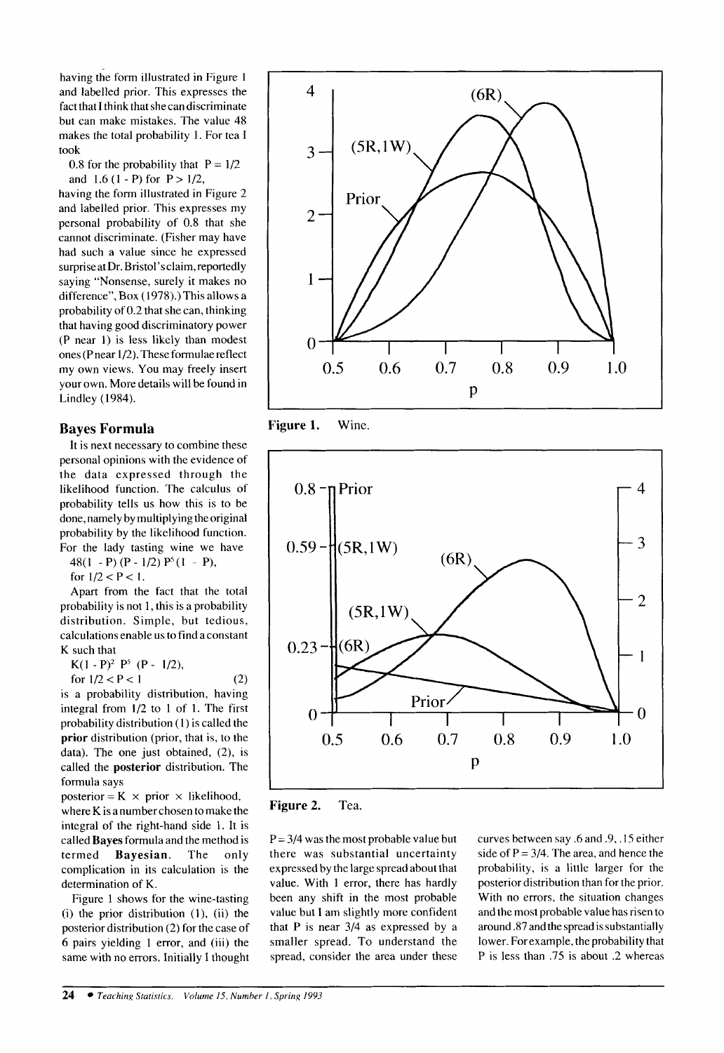having the form illustrated in Figure **<sup>1</sup>** and labelled prior. This expresses the fact that **I** think that she can discriminate but can make mistakes. The value 48 makes the total probability 1. For tea **I**  took

0.8 for the probability that  $P = 1/2$ and 1.6 (1 - P) for  $P > 1/2$ ,

having the form illustrated in Figure 2 and labelled prior. This expresses my personal probability of 0.8 that she cannot discriminate. (Fisher may have had such a value since he expressed surpriseat Dr. **Bristol'sclaim,reportedly**  saying "Nonsense, surely it makes no difference", Box (1978).) This allows a probability of 0.2 that she can, thinking that having good discriminatory power (P near I) is less likely than modest ones (Pnear 1/2). These formulae reflect my own views. You may freely insert your own. More details will be found in Lindley (1984).

#### **Bayes Formula**

It is next necessary to combine these personal opinions with the evidence of the data expressed through the likelihood function. The calculus of probability tells us how this is to be done, namely by multiplying the original probability by the likelihood function. For the lady tasting wine we have 48(1 - P)(P -  $1/2$ )  $P^5(1 - P)$ ,

for  $1/2 < P < 1$ .

Apart from the fact that the total probability is not 1, this is a probability distribution. Simple, but tedious, calculations enable us to find a constant K such that

 $K(1 - P)^2 P^5 (P - 1/2),$ 

for 
$$
1/2 < P < 1
$$

is a probability distribution, having integral from **1/2** to **1** of 1. The first probability distribution (1) is called the **prior** distribution (prior, that is, to the data). The one just obtained, (2), is called the **posterior** distribution. The formula says

(2)

posterior =  $K \times$  prior  $\times$  likelihood, where K is a number chosen to make the integral of the right-hand side 1. It is called **Bayes** formula and the method is termed **Bayesian.** The only complication in its calculation is the determination of K.

Figure 1 shows for the wine-tasting  $(i)$  the prior distribution  $(1)$ ,  $(ii)$  the posterior distribution (2) for the case of 6 pairs yielding 1 error, and (iii) the same with no errors. Initially I thought



**Figure 1.** Wine.



**Figure 2.** Tea.

 $P = 3/4$  was the most probable value but there was substantial uncertainty expressed by the large spread about that value. With 1 error, there has hardly been any shift in the most probable value but I am slightly more confident that P is near 3/4 as expressed by a smaller spread. To understand the spread, consider the area under these

curves between say **.6** and .9,. IS either side of  $P = 3/4$ . The area, and hence the probability, is a little larger for the posterior distribution than for the prior. With no errors, the situation changes and the most probable value has risen to around .87 and the spread is substantially lower. For example, the probability that P is less than .75 is about .2 whereas